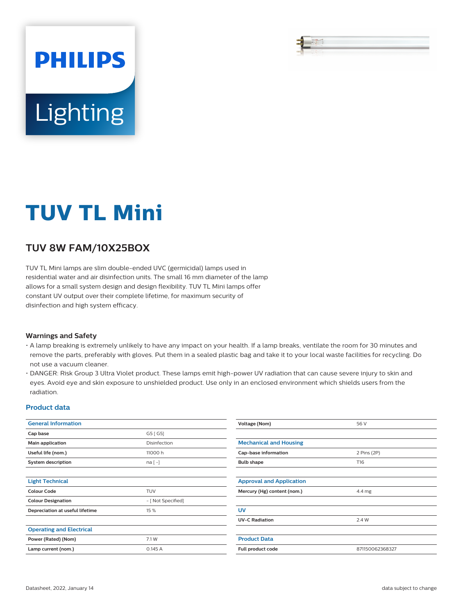# **PHILIPS** Lighting

## **TUV TL Mini**

### **TUV 8W FAM/10X25BOX**

TUV TL Mini lamps are slim double-ended UVC (germicidal) lamps used in residential water and air disinfection units. The small 16 mm diameter of the lamp allows for a small system design and design flexibility. TUV TL Mini lamps offer constant UV output over their complete lifetime, for maximum security of disinfection and high system efficacy.

#### **Warnings and Safety**

- A lamp breaking is extremely unlikely to have any impact on your health. If a lamp breaks, ventilate the room for 30 minutes and remove the parts, preferably with gloves. Put them in a sealed plastic bag and take it to your local waste facilities for recycling. Do not use a vacuum cleaner.
- DANGER: Risk Group 3 Ultra Violet product. These lamps emit high-power UV radiation that can cause severe injury to skin and eyes. Avoid eye and skin exposure to unshielded product. Use only in an enclosed environment which shields users from the radiation.

#### **Product data**

| <b>General Information</b>      |                    | Voltage (Nom)                       | 56 V            |
|---------------------------------|--------------------|-------------------------------------|-----------------|
| Cap base                        | G5 [G5]            |                                     |                 |
| Main application                | Disinfection       | <b>Mechanical and Housing</b>       |                 |
| Useful life (nom.)              | 11000 h            | Cap-base information<br>2 Pins (2P) |                 |
| System description              | $na[-]$            | <b>Bulb shape</b>                   | T16             |
|                                 |                    |                                     |                 |
| <b>Light Technical</b>          |                    | <b>Approval and Application</b>     |                 |
| <b>Colour Code</b>              | <b>TUV</b>         | Mercury (Hg) content (nom.)         | 4.4 mg          |
| <b>Colour Designation</b>       | - [ Not Specified] |                                     |                 |
| Depreciation at useful lifetime | 15 %               | <b>UV</b>                           |                 |
|                                 |                    | <b>UV-C Radiation</b>               | 2.4 W           |
| <b>Operating and Electrical</b> |                    |                                     |                 |
| Power (Rated) (Nom)             | 7.1 W              | <b>Product Data</b>                 |                 |
| Lamp current (nom.)             | 0.145A             | Full product code                   | 871150062368327 |
|                                 |                    |                                     |                 |